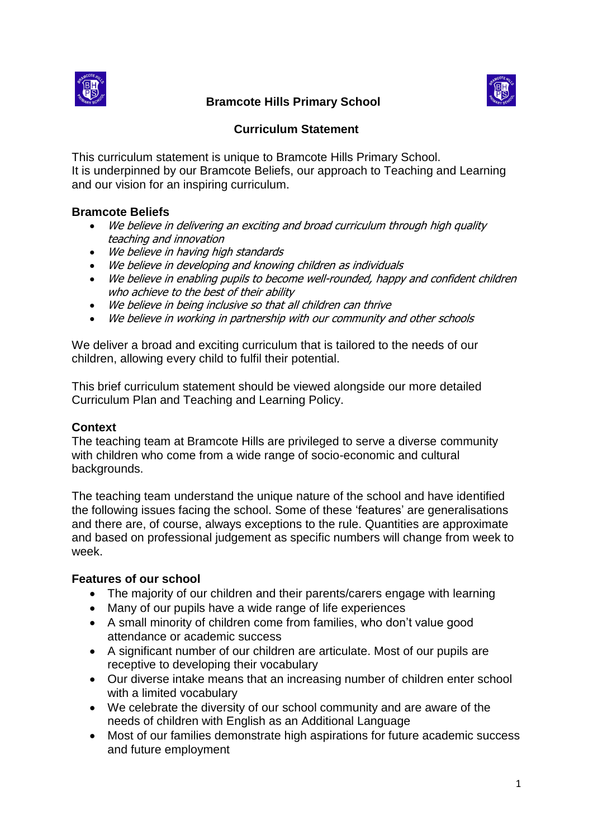

# **Bramcote Hills Primary School**



## **Curriculum Statement**

This curriculum statement is unique to Bramcote Hills Primary School. It is underpinned by our Bramcote Beliefs, our approach to Teaching and Learning and our vision for an inspiring curriculum.

#### **Bramcote Beliefs**

- We believe in delivering an exciting and broad curriculum through high quality teaching and innovation
- We believe in having high standards
- We believe in developing and knowing children as individuals
- We believe in enabling pupils to become well-rounded, happy and confident children who achieve to the best of their ability
- We believe in being inclusive so that all children can thrive
- We believe in working in partnership with our community and other schools

We deliver a broad and exciting curriculum that is tailored to the needs of our children, allowing every child to fulfil their potential.

This brief curriculum statement should be viewed alongside our more detailed Curriculum Plan and Teaching and Learning Policy.

#### **Context**

The teaching team at Bramcote Hills are privileged to serve a diverse community with children who come from a wide range of socio-economic and cultural backgrounds.

The teaching team understand the unique nature of the school and have identified the following issues facing the school. Some of these 'features' are generalisations and there are, of course, always exceptions to the rule. Quantities are approximate and based on professional judgement as specific numbers will change from week to week.

#### **Features of our school**

- The majority of our children and their parents/carers engage with learning
- Many of our pupils have a wide range of life experiences
- A small minority of children come from families, who don't value good attendance or academic success
- A significant number of our children are articulate. Most of our pupils are receptive to developing their vocabulary
- Our diverse intake means that an increasing number of children enter school with a limited vocabulary
- We celebrate the diversity of our school community and are aware of the needs of children with English as an Additional Language
- Most of our families demonstrate high aspirations for future academic success and future employment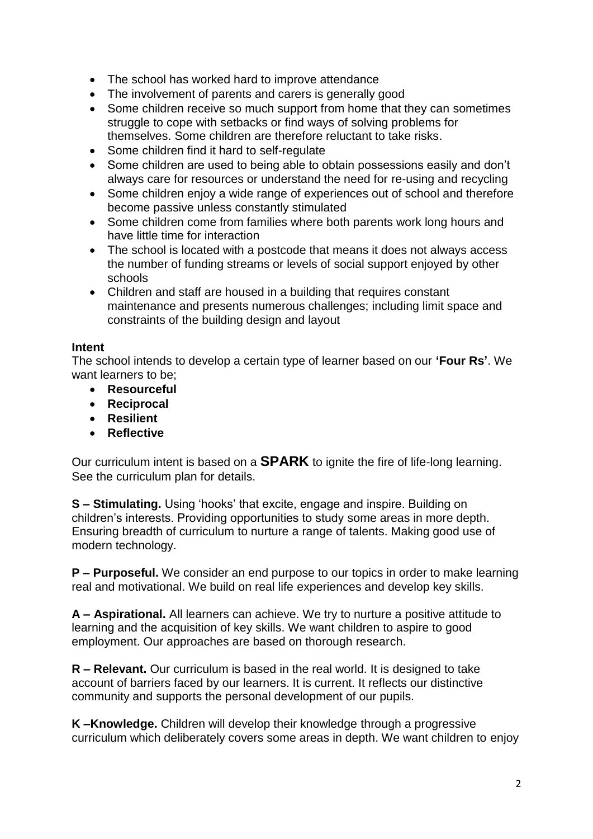- The school has worked hard to improve attendance
- The involvement of parents and carers is generally good
- Some children receive so much support from home that they can sometimes struggle to cope with setbacks or find ways of solving problems for themselves. Some children are therefore reluctant to take risks.
- Some children find it hard to self-regulate
- Some children are used to being able to obtain possessions easily and don't always care for resources or understand the need for re-using and recycling
- Some children enjoy a wide range of experiences out of school and therefore become passive unless constantly stimulated
- Some children come from families where both parents work long hours and have little time for interaction
- The school is located with a postcode that means it does not always access the number of funding streams or levels of social support enjoyed by other schools
- Children and staff are housed in a building that requires constant maintenance and presents numerous challenges; including limit space and constraints of the building design and layout

#### **Intent**

The school intends to develop a certain type of learner based on our **'Four Rs'**. We want learners to be;

- **Resourceful**
- **Reciprocal**
- **Resilient**
- **Reflective**

Our curriculum intent is based on a **SPARK** to ignite the fire of life-long learning. See the curriculum plan for details.

**S – Stimulating.** Using 'hooks' that excite, engage and inspire. Building on children's interests. Providing opportunities to study some areas in more depth. Ensuring breadth of curriculum to nurture a range of talents. Making good use of modern technology.

**P – Purposeful.** We consider an end purpose to our topics in order to make learning real and motivational. We build on real life experiences and develop key skills.

**A – Aspirational.** All learners can achieve. We try to nurture a positive attitude to learning and the acquisition of key skills. We want children to aspire to good employment. Our approaches are based on thorough research.

**R – Relevant.** Our curriculum is based in the real world. It is designed to take account of barriers faced by our learners. It is current. It reflects our distinctive community and supports the personal development of our pupils.

**K –Knowledge.** Children will develop their knowledge through a progressive curriculum which deliberately covers some areas in depth. We want children to enjoy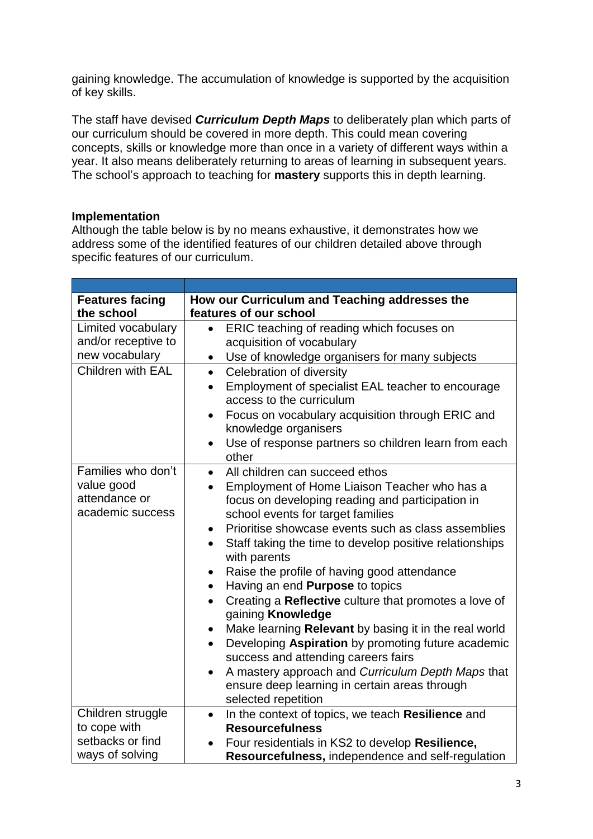gaining knowledge. The accumulation of knowledge is supported by the acquisition of key skills.

The staff have devised *Curriculum Depth Maps* to deliberately plan which parts of our curriculum should be covered in more depth. This could mean covering concepts, skills or knowledge more than once in a variety of different ways within a year. It also means deliberately returning to areas of learning in subsequent years. The school's approach to teaching for **mastery** supports this in depth learning.

## **Implementation**

Although the table below is by no means exhaustive, it demonstrates how we address some of the identified features of our children detailed above through specific features of our curriculum.

| <b>Features facing</b><br>the school                                     | How our Curriculum and Teaching addresses the<br>features of our school                                                                                                                                                                                                                                                                                                                                                                                                                                                                                                                                                                                                                                                                                                                                                                                                                        |
|--------------------------------------------------------------------------|------------------------------------------------------------------------------------------------------------------------------------------------------------------------------------------------------------------------------------------------------------------------------------------------------------------------------------------------------------------------------------------------------------------------------------------------------------------------------------------------------------------------------------------------------------------------------------------------------------------------------------------------------------------------------------------------------------------------------------------------------------------------------------------------------------------------------------------------------------------------------------------------|
| Limited vocabulary<br>and/or receptive to<br>new vocabulary              | ERIC teaching of reading which focuses on<br>$\bullet$<br>acquisition of vocabulary<br>Use of knowledge organisers for many subjects                                                                                                                                                                                                                                                                                                                                                                                                                                                                                                                                                                                                                                                                                                                                                           |
| Children with EAL                                                        | Celebration of diversity<br>$\bullet$<br>Employment of specialist EAL teacher to encourage<br>$\bullet$<br>access to the curriculum<br>Focus on vocabulary acquisition through ERIC and<br>$\bullet$<br>knowledge organisers<br>Use of response partners so children learn from each<br>$\bullet$<br>other                                                                                                                                                                                                                                                                                                                                                                                                                                                                                                                                                                                     |
| Families who don't<br>value good<br>attendance or<br>academic success    | All children can succeed ethos<br>$\bullet$<br>Employment of Home Liaison Teacher who has a<br>$\bullet$<br>focus on developing reading and participation in<br>school events for target families<br>Prioritise showcase events such as class assemblies<br>$\bullet$<br>Staff taking the time to develop positive relationships<br>$\bullet$<br>with parents<br>Raise the profile of having good attendance<br>$\bullet$<br>Having an end Purpose to topics<br>$\bullet$<br>Creating a Reflective culture that promotes a love of<br>$\bullet$<br>gaining Knowledge<br>Make learning Relevant by basing it in the real world<br>$\bullet$<br>Developing Aspiration by promoting future academic<br>$\bullet$<br>success and attending careers fairs<br>A mastery approach and Curriculum Depth Maps that<br>$\bullet$<br>ensure deep learning in certain areas through<br>selected repetition |
| Children struggle<br>to cope with<br>setbacks or find<br>ways of solving | In the context of topics, we teach Resilience and<br>$\bullet$<br><b>Resourcefulness</b><br>Four residentials in KS2 to develop Resilience,<br>Resourcefulness, independence and self-regulation                                                                                                                                                                                                                                                                                                                                                                                                                                                                                                                                                                                                                                                                                               |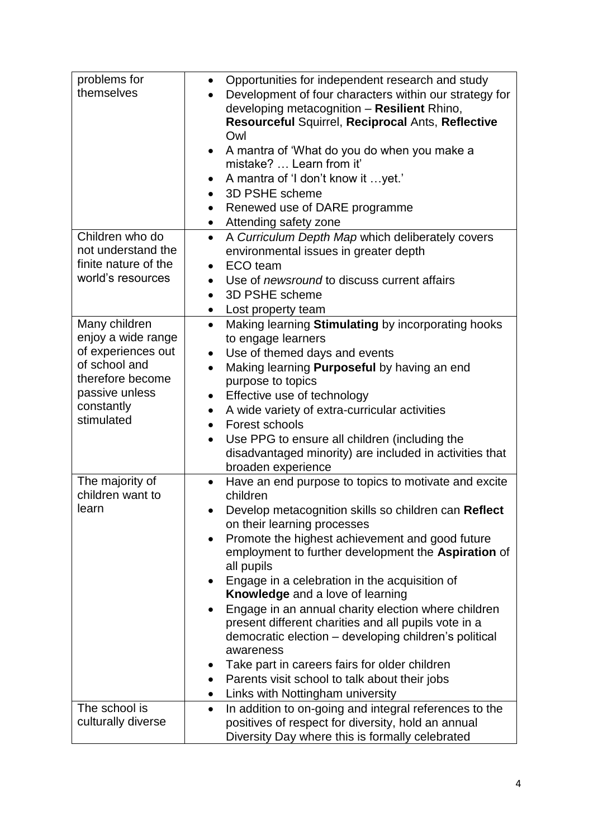| problems for                        | Opportunities for independent research and study<br>$\bullet$                 |
|-------------------------------------|-------------------------------------------------------------------------------|
| themselves                          | Development of four characters within our strategy for                        |
|                                     | developing metacognition - Resilient Rhino,                                   |
|                                     | Resourceful Squirrel, Reciprocal Ants, Reflective                             |
|                                     | Owl                                                                           |
|                                     | A mantra of 'What do you do when you make a<br>$\bullet$                      |
|                                     | mistake?  Learn from it'                                                      |
|                                     | A mantra of 'I don't know it yet.'                                            |
|                                     | 3D PSHE scheme<br>$\bullet$                                                   |
|                                     | Renewed use of DARE programme<br>$\bullet$                                    |
|                                     | Attending safety zone<br>$\bullet$                                            |
| Children who do                     | A Curriculum Depth Map which deliberately covers<br>$\bullet$                 |
| not understand the                  | environmental issues in greater depth                                         |
| finite nature of the                | ECO team<br>$\bullet$                                                         |
| world's resources                   | Use of <i>newsround</i> to discuss current affairs                            |
|                                     | 3D PSHE scheme<br>$\bullet$                                                   |
|                                     | Lost property team<br>$\bullet$                                               |
| Many children                       | Making learning Stimulating by incorporating hooks<br>$\bullet$               |
| enjoy a wide range                  | to engage learners                                                            |
| of experiences out                  | Use of themed days and events<br>$\bullet$                                    |
| of school and                       | Making learning <b>Purposeful</b> by having an end<br>$\bullet$               |
| therefore become                    | purpose to topics                                                             |
| passive unless<br>constantly        | Effective use of technology<br>$\bullet$                                      |
| stimulated                          | A wide variety of extra-curricular activities<br>$\bullet$                    |
|                                     | Forest schools<br>$\bullet$                                                   |
|                                     | Use PPG to ensure all children (including the<br>$\bullet$                    |
|                                     | disadvantaged minority) are included in activities that                       |
|                                     | broaden experience                                                            |
| The majority of<br>children want to | Have an end purpose to topics to motivate and excite<br>$\bullet$<br>children |
| learn                               | Develop metacognition skills so children can Reflect                          |
|                                     | on their learning processes                                                   |
|                                     | Promote the highest achievement and good future                               |
|                                     | employment to further development the Aspiration of                           |
|                                     | all pupils                                                                    |
|                                     | Engage in a celebration in the acquisition of                                 |
|                                     | <b>Knowledge</b> and a love of learning                                       |
|                                     | Engage in an annual charity election where children                           |
|                                     | present different charities and all pupils vote in a                          |
|                                     | democratic election - developing children's political                         |
|                                     | awareness                                                                     |
|                                     | Take part in careers fairs for older children<br>$\bullet$                    |
|                                     | Parents visit school to talk about their jobs<br>$\bullet$                    |
|                                     | Links with Nottingham university<br>$\bullet$                                 |
| The school is                       | In addition to on-going and integral references to the<br>$\bullet$           |
| culturally diverse                  | positives of respect for diversity, hold an annual                            |
|                                     | Diversity Day where this is formally celebrated                               |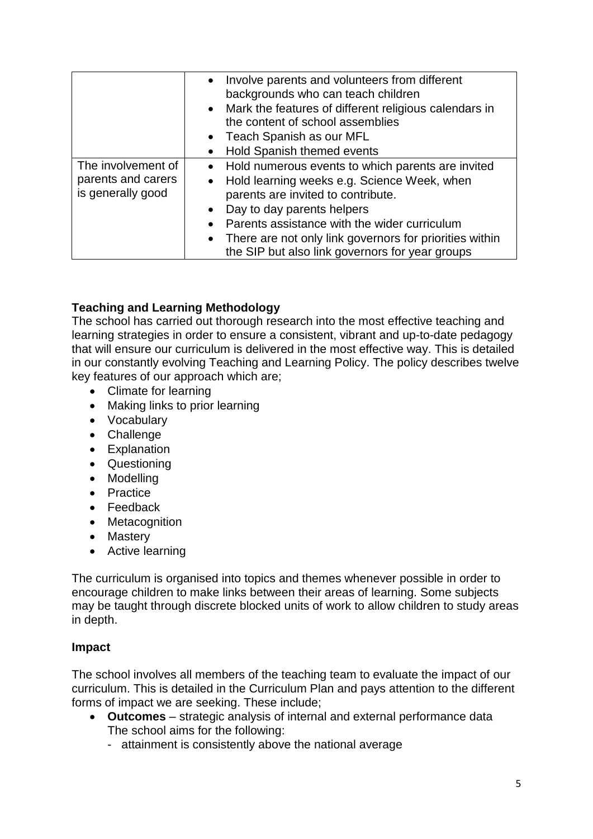|                                                               | • Involve parents and volunteers from different<br>backgrounds who can teach children<br>• Mark the features of different religious calendars in<br>the content of school assemblies<br>• Teach Spanish as our MFL<br>Hold Spanish themed events<br>$\bullet$                                                                                                                 |
|---------------------------------------------------------------|-------------------------------------------------------------------------------------------------------------------------------------------------------------------------------------------------------------------------------------------------------------------------------------------------------------------------------------------------------------------------------|
| The involvement of<br>parents and carers<br>is generally good | • Hold numerous events to which parents are invited<br>Hold learning weeks e.g. Science Week, when<br>$\bullet$<br>parents are invited to contribute.<br>Day to day parents helpers<br>$\bullet$<br>Parents assistance with the wider curriculum<br>$\bullet$<br>• There are not only link governors for priorities within<br>the SIP but also link governors for year groups |

## **Teaching and Learning Methodology**

The school has carried out thorough research into the most effective teaching and learning strategies in order to ensure a consistent, vibrant and up-to-date pedagogy that will ensure our curriculum is delivered in the most effective way. This is detailed in our constantly evolving Teaching and Learning Policy. The policy describes twelve key features of our approach which are;

- Climate for learning
- Making links to prior learning
- Vocabulary
- Challenge
- Explanation
- Questioning
- Modelling
- Practice
- Feedback
- Metacognition
- Mastery
- Active learning

The curriculum is organised into topics and themes whenever possible in order to encourage children to make links between their areas of learning. Some subjects may be taught through discrete blocked units of work to allow children to study areas in depth.

#### **Impact**

The school involves all members of the teaching team to evaluate the impact of our curriculum. This is detailed in the Curriculum Plan and pays attention to the different forms of impact we are seeking. These include;

- **Outcomes** strategic analysis of internal and external performance data The school aims for the following:
	- attainment is consistently above the national average